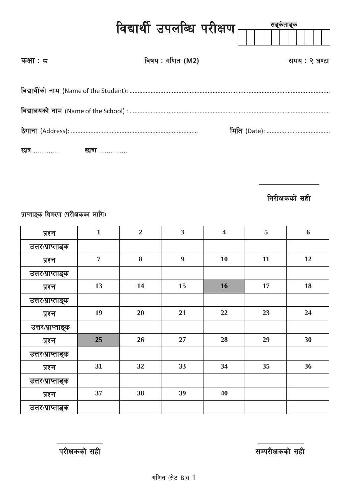|                  | विद्यार्थी उपलब्धि परीक्षण $\begin{matrix} \begin{matrix} \end{matrix} \end{matrix}$ | सङ्केताङ्क    |  |  |  |  |  |  |
|------------------|--------------------------------------------------------------------------------------|---------------|--|--|--|--|--|--|
| कक्षा : $\sigma$ | विषय : गणित (M2)                                                                     | समय : २ घण्टा |  |  |  |  |  |  |
|                  |                                                                                      |               |  |  |  |  |  |  |
|                  |                                                                                      |               |  |  |  |  |  |  |
|                  |                                                                                      |               |  |  |  |  |  |  |
|                  |                                                                                      |               |  |  |  |  |  |  |

**निरीक्षकको सही** 

प्राप्ताङ्क विवरण (परीक्षकका लागि)

| प्रश्न            | $\mathbf{1}$   | $\overline{2}$ | $\overline{\mathbf{3}}$ | $\overline{\mathbf{4}}$ | 5  | 6  |
|-------------------|----------------|----------------|-------------------------|-------------------------|----|----|
| उत्तर/प्राप्ताङ्क |                |                |                         |                         |    |    |
| प्रश्न            | $\overline{7}$ | 8              | $\boldsymbol{9}$        | <b>10</b>               | 11 | 12 |
| उत्तर/प्राप्ताङ्क |                |                |                         |                         |    |    |
| प्रश्न            | 13             | 14             | 15                      | 16                      | 17 | 18 |
| उत्तर/प्राप्ताङ्क |                |                |                         |                         |    |    |
| प्रश्न            | 19             | 20             | 21                      | 22                      | 23 | 24 |
| उत्तर/प्राप्ताङ्क |                |                |                         |                         |    |    |
| प्रश्न            | 25             | 26             | 27                      | 28                      | 29 | 30 |
| उत्तर/प्राप्ताङ्क |                |                |                         |                         |    |    |
| प्रश्न            | 31             | 32             | 33                      | 34                      | 35 | 36 |
| उत्तर/प्राप्ताङ्क |                |                |                         |                         |    |    |
| प्रश्न            | 37             | 38             | 39                      | 40                      |    |    |
| उत्तर/प्राप्ताङ्क |                |                |                         |                         |    |    |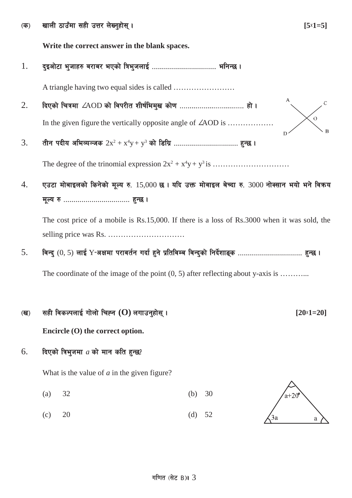-s\_ vfnL 7fpFdf ;xL pQ/ n]Vg'xf];\ . **[5**×**1=5]**

**Write the correct answer in the blank spaces.**

1. b'Ocf]6f e'hfx? a/fa/ ePsf] lqe'hnfO{ ================================ elgG5 .

A triangle having two equal sides is called ……………………

2. lbPsf] lrqdf ∠AOD sf] ljk/Lt zLif{led'v sf]0f ================================ xf] .  $\overline{O}$ In the given figure the vertically opposite angle of ∠AOD is ………………

 $3. \qquad$  तीन पदीय अभिव्यञ्जक  $2x^2 + x^4y + y^3$  को डिग्रि ……………………………… हुन्छ ।

The degree of the trinomial expression 2x2 + x4 y+ y3 is …………………………

 $4.$  पुउटा मोबाइलको किनेको मुल्य रु.  $15,000$  छ । यदि उक्त मोवाइल बेच्दा रु.  $3000$  नोक्सान भयो भने विकय d"No ? ================================= x'G5 .

The cost price of a mobile is Rs.15,000. If there is a loss of Rs.3000 when it was sold, the selling price was Rs. …………………………

5. ljGb' (0, 5) nfO{ Y−cIfdf k/fjt{g ubf{ x'g] k|ltljDa ljGb'sf] lgb{]zfª\s ================================ x'G5 .

The coordinate of the image of the point  $(0, 5)$  after reflecting about y-axis is ...........

#### -v\_ ;xL ljsNknfO{ uf]nf] lrXg **(O)** nufpg'xf];\ . **[20**×**1=20]**

**Encircle (O) the correct option.**

## $6.$  lava विभुजमा  $a$  को मान कति हुन्छ?

What is the value of *a* in the given figure?

- (a) 32 (b) 30
- (c) 20 (d) 52

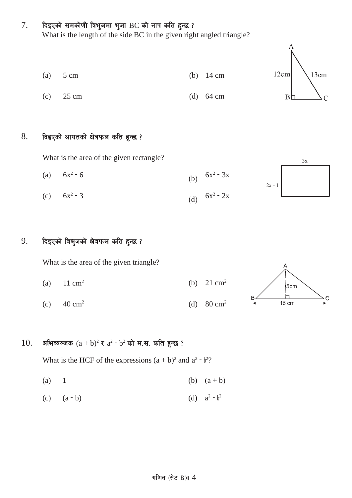## $7.$  दिइएको समकोणी त्रिभुजमा भुजा BC को नाप कति हुन्छ ?

What is the length of the side BC in the given right angled triangle?





 $3x$ 

## $8.$  दिइएको आयतको क्षेत्रफल कति हुन्छ ?

What is the area of the given rectangle?

(a)  $6x^2 - 6$  (b)  $6x^2 - 3x$  $2x - 1$ (c)  $6x^2 - 3$  (d)  $6x^2 - 2x$ 

## 9. दिइएको त्रिभुजको क्षेत्रफल कति हुन्छ ?

What is the area of the given triangle?

- (a)  $11 \text{ cm}^2$  (b)  $21 \text{ cm}^2$
- (c)  $40 \text{ cm}^2$  (d)  $80 \text{ cm}^2$



## 10. अभिव्यञ्जक  $(a + b)^2$  र  $a^2 - b^2$  को म.स. कति हुन्छ ?

What is the HCF of the expressions  $(a + b)^2$  and  $a^2 - b^2$ ?

- (a) 1 (b)  $(a + b)$
- (c)  $(a b)$  (d)  $a^2 b^2$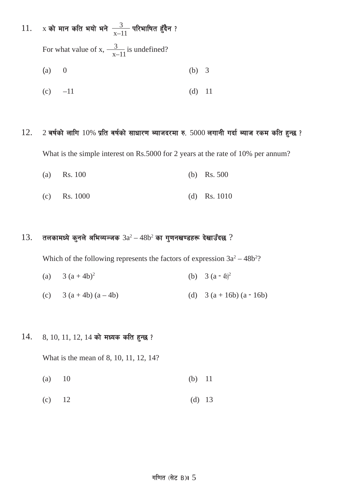# 11. x को मान कति भयो भने  $\frac{3}{x-11}$  परिभाषित हुँदैन ?

For what value of x,  $\frac{3}{x-11}$  is undefined?

$$
(a) 0 \t\t (b) 3
$$

(c) 
$$
-11
$$
 (d) 11

## $12.$  2 बर्षको लागि  $10\%$  प्रति वर्षको साधारण ब्याजदरमा रु. 5000 लगानी गर्दा ब्याज रकम कति हुन्छ ?

What is the simple interest on Rs.5000 for 2 years at the rate of 10% per annum?

- (a) Rs. 100 (b) Rs. 500
- (c) Rs. 1000 (d) Rs. 1010

#### $13.$  तलकामध्ये कुनले अभिव्यञ्जक  $3a^2 - 48b^2$  का गुणनखण्डहरू देखाउँदछ ?

Which of the following represents the factors of expression  $3a^2 - 48b^2$ ?

- (a)  $3 (a + 4b)^2$  (b)  $3 (a 4b)^2$
- (c)  $3 (a + 4b) (a 4b)$  (d)  $3 (a + 16b) (a 16b)$

#### $14.$   $8, 10, 11, 12, 14$  को मध्यक कति हुन्छ ?

What is the mean of 8, 10, 11, 12, 14?

- (a) 10 (b) 11
- (c)  $12$  (d)  $13$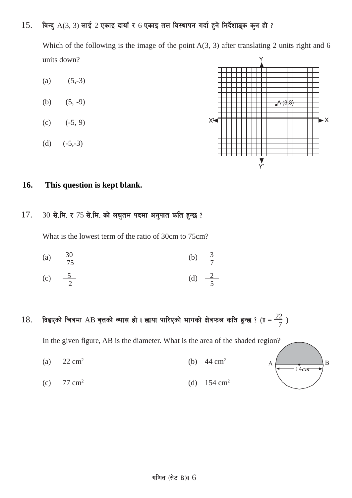## $15.$  विन्दु  $A(3, 3)$  लाई  $2$  एकाइ दायाँ र 6 एकाइ तल विस्थापन गर्दा हुने निर्देशाङ्क कुन हो ?

Which of the following is the image of the point  $A(3, 3)$  after translating 2 units right and 6 units down?

- (a)  $(5,-3)$ (b)  $(5, -9)$  $(c)$   $(-5, 9)$
- (d)  $(-5,-3)$



A

 $\overline{B}$ 

 $-14cm$ 

## **16. This question is kept blank.**

## $17.$   $30$  से.मि. र  $75$  से.मि. को लघुतम पदमा अनुपात कति हुन्छ ?

What is the lowest term of the ratio of 30cm to 75cm?

- (a)  $\frac{30}{75}$ 75 (b)  $\frac{3}{7}$ 7
- (c)  $\frac{5}{2}$ 2 (d)  $\frac{2}{5}$ 5
- $18.$  दिइएको चित्रमा AB वृत्तको व्यास हो । छाया पारिएको भागको क्षेत्रफल कति हुन्छ ? ( $\pi = \frac{22}{7}$  )

In the given figure, AB is the diameter. What is the area of the shaded region?

- (a)  $22 \text{ cm}^2$  (b)  $44 \text{ cm}^2$
- (c)  $77 \text{ cm}^2$  (d)  $154 \text{ cm}^2$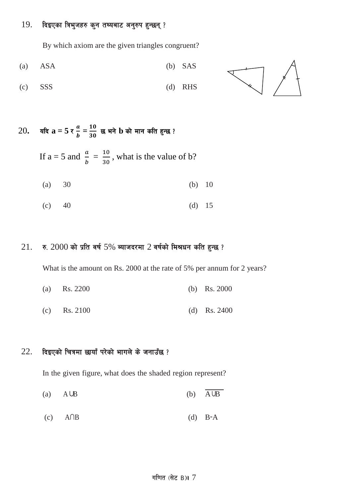## $19.$  दिइएका त्रिभुजहरु कुन तथ्यबाट अनुरुप हुन्छन् ?

By which axiom are the given triangles congruent?

$$
(a) ASA \t\t (b) SAS
$$

$$
(c) SSS \t\t (d) RHS
$$



 $20$ . यदि $a = 5 \tau \frac{a}{b}$  $\boldsymbol{p}$  $\bar{t} = \frac{10}{30}$  छ भने  $\bf{b}$  को मान कति हुन्छ ?

If a = 5 and 
$$
\frac{a}{b} = \frac{10}{30}
$$
, what is the value of b?

(a) 30 (b) 10

(c) 40 (d) 15

## $21.$  रु.  $2000$  को प्रति वर्ष  $5\%$  ब्याजदरमा  $2$  वर्षको मिश्रधन कति हुन्छ ?

What is the amount on Rs. 2000 at the rate of 5% per annum for 2 years?

| (a) Rs. 2200 |  |  | (b) Rs. $2000$ |
|--------------|--|--|----------------|
|              |  |  |                |

(c) Rs. 2100 (d) Rs. 2400

## $22.$  दिइएको चित्रमा छायाँ परेको भागले के जनाउँछ ?

In the given figure, what does the shaded region represent?

- (a) A∪B (b) A∪B
- (c) A∩B (d) B−A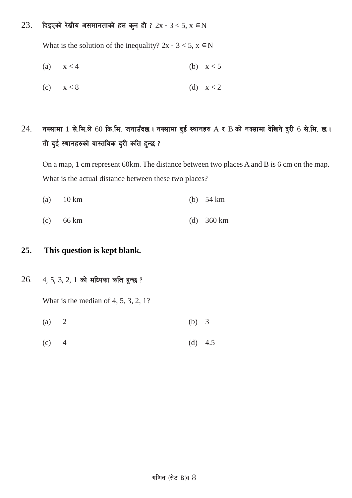## $23.$  दिइएको रेखीय असमानताको हल कुन हो ?  $2x - 3 < 5$ ,  $x \in N$

What is the solution of the inequality?  $2x - 3 < 5$ ,  $x \in N$ 

$$
(a) \qquad x < 4 \qquad \qquad (b) \quad x < 5
$$

$$
(c) \qquad x < 8 \tag{d} \qquad x < 2
$$

# $24$ . नक्सामा 1 से.मि.ले 60 कि.मि. जनाउँदछ। नक्सामा दुई स्थानहरु A र B को नक्सामा देखिने दुरी 6 से.मि. छ। ती दुई स्थानहरुको वास्तविक दुरी कति हुन्छ ?

On a map, 1 cm represent 60km. The distance between two places A and B is 6 cm on the map. What is the actual distance between these two places?

- (a) 10 km (b) 54 km
- (c) 66 km (d) 360 km

#### **25. This question is kept blank.**

#### $26.$  4, 5, 3, 2, 1 को मध्यिका कति हुन्छ ?

What is the median of 4, 5, 3, 2, 1?

- (a) 2 (b) 3
- (c)  $4$  (d)  $4.5$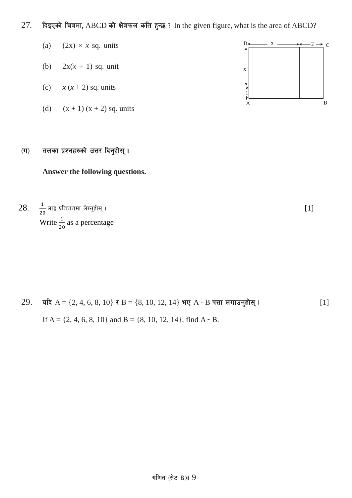## 27. दिइएको चित्रमा, ABCD को क्षेत्रफल कति हुन्छ ? In the given figure, what is the area of ABCD?

- (a)  $(2x) \times x$  sq. units
- (b)  $2x(x + 1)$  sq. unit
- (c)  $x(x+2)$  sq. units
- (d)  $(x + 1)(x + 2)$  sq. units

## $\sigma(\mathbf{u})$  तलका प्रश्नहरुको उत्तर दिनुहोस् ।

## **Answer the following questions.**

28. <sup>1</sup>  $\frac{1}{20}$  लाई प्रतिशतमा लेख्नुहोस् ।  $[1]$ Write  $\frac{1}{20}$  as a percentage



 $29.$  यदि A = {2, 4, 6, 8, 10} र B = {8, 10, 12, 14} भए A − B पत्ता लगाउनुहोस् । [1] If A =  $\{2, 4, 6, 8, 10\}$  and B =  $\{8, 10, 12, 14\}$ , find A  $\text{- B}$ .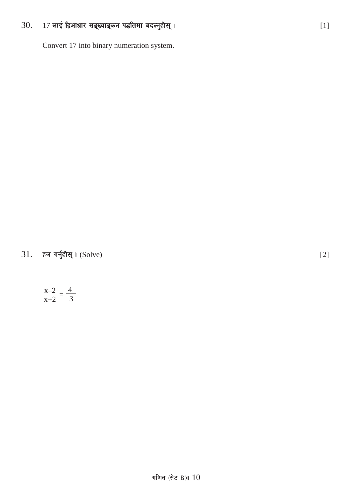#### 17 लाई द्विआधार सङ्ख्याङ्कन पद्धतिमा बदल्नुहोस् । 30.

Convert 17 into binary numeration system.

हल गर्नुहोस् । (Solve) 31.

$$
\frac{x-2}{x+2} = \frac{4}{3}
$$

 $[2]$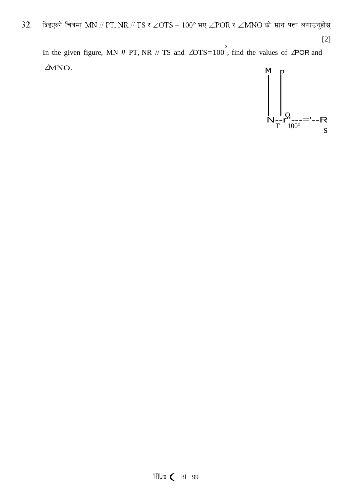32. दिइएको चित्रमा MN // PT, NR // TS र  $\angle$ OTS =  $100^\circ$  भए  $\angle$ POR र  $\angle$ MNO को मान पत्ता लगाउनुहोस्  $[2]$ 

In the given figure, MN *II* PT, NR // TS and  $\angle OTS = 100^{\circ}$ , find the values of  $\angle POR$  and ΔMNO.

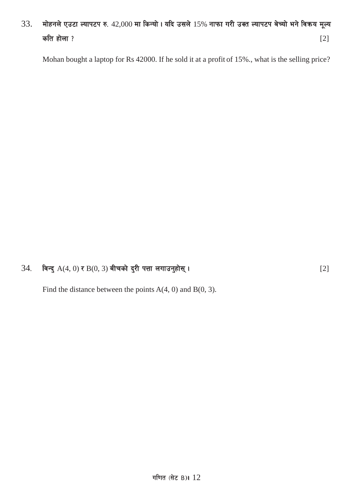# $33.$  मोहनले एउटा ल्यापटप रु.  $42,000$  मा किन्यो। यदि उसले  $15%$  नाफा गरी उक्त ल्यापटप बेच्यो भने विक्रय मूल्य कति होला ?  $[2]$

Mohan bought a laptop for Rs 42000. If he sold it at a profit of 15%., what is the selling price?

## 34= ljGb' A(4, 0) / B(0, 3) aLrsf] b'/L kQf nufpg'xf];\ . [2]

Find the distance between the points  $A(4, 0)$  and  $B(0, 3)$ .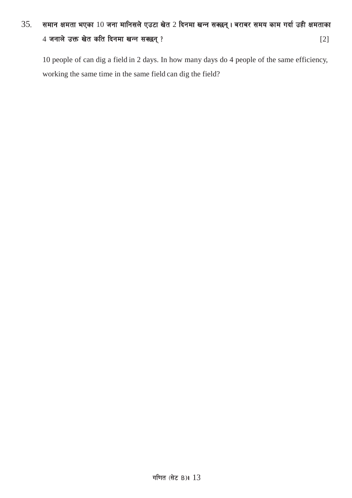# $35.$  समान क्षमता भएका  $10$  जना मानिसले एउटा खेत 2 दिनमा खन्न सक्छन्। बराबर समय काम गर्दा उही क्षमताका  $4 \pi$ नाले उक्त खेत कति दिनमा खन्न सक्छन् ?

10 people of can dig a field in 2 days. In how many days do 4 people of the same efficiency, working the same time in the same field can dig the field?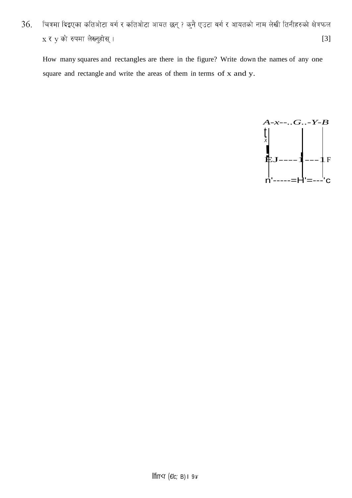चित्रमा दिइएका कतिओटा वर्ग र कतिओटा आयत छन् ? कुनै एउटा वर्ग र आयतको नाम लेखी तिनीहरुको क्षेत्रफल 36. x र y को रुपमा लेख्नुहोस् ।  $[3]$ 

How many squares and rectangles are there in the figure? Write down the names of any one square and rectangle and write the areas of them in terms of x and y.

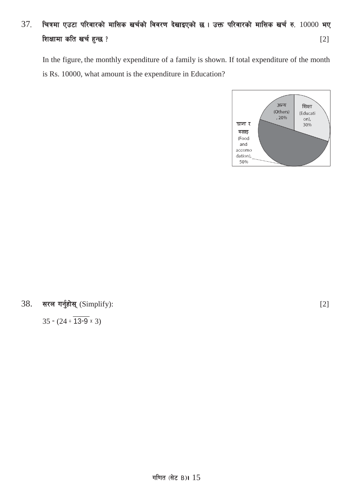# $37.$  चित्रमा एउटा परिवारको मासिक खर्चको विवरण देखाइएको छ । उक्त परिवारको मासिक खर्च रु.  $10000$  भए शिक्षामा कति खर्च हुन्छ ? बाद पाकिस्ता को सामान करते हुन्छ ? बाद पाकिस्ता को बाद पाकिस्ता को सामान करते हुन्छ

In the figure, the monthly expenditure of a family is shown. If total expenditure of the month is Rs. 10000, what amount is the expenditure in Education?



## $38.$  सरल गर्नुहोस् (Simplify): [2]

 $35 - (24 \div 13 - 9 \times 3)$